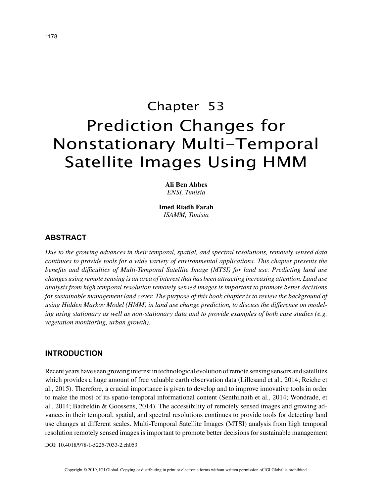# Chapter 53 Prediction Changes for Nonstationary Multi-Temporal Satellite Images Using HMM

**Ali Ben Abbes** *ENSI, Tunisia*

**Imed Riadh Farah** *ISAMM, Tunisia*

# **ABSTRACT**

*Due to the growing advances in their temporal, spatial, and spectral resolutions, remotely sensed data continues to provide tools for a wide variety of environmental applications. This chapter presents the benefits and difficulties of Multi-Temporal Satellite Image (MTSI) for land use. Predicting land use changes using remote sensing is an area of interest that has been attracting increasing attention. Land use analysis from high temporal resolution remotely sensed images is important to promote better decisions*  for sustainable management land cover. The purpose of this book chapter is to review the background of *using Hidden Markov Model (HMM) in land use change prediction, to discuss the difference on modeling using stationary as well as non-stationary data and to provide examples of both case studies (e.g. vegetation monitoring, urban growth).*

### **INTRODUCTION**

Recent years have seen growing interest in technological evolution of remote sensing sensors and satellites which provides a huge amount of free valuable earth observation data (Lillesand et al., 2014; Reiche et al., 2015). Therefore, a crucial importance is given to develop and to improve innovative tools in order to make the most of its spatio-temporal informational content (Senthilnath et al., 2014; Wondrade, et al., 2014; Badreldin & Goossens, 2014). The accessibility of remotely sensed images and growing advances in their temporal, spatial, and spectral resolutions continues to provide tools for detecting land use changes at different scales. Multi-Temporal Satellite Images (MTSI) analysis from high temporal resolution remotely sensed images is important to promote better decisions for sustainable management

DOI: 10.4018/978-1-5225-7033-2.ch053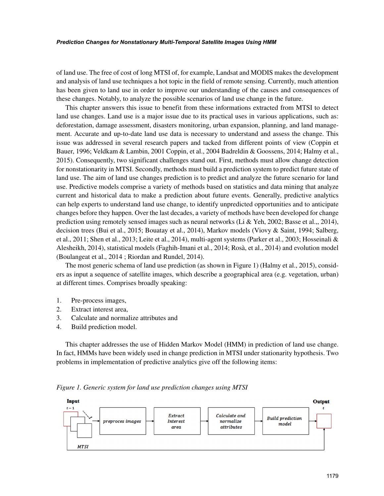#### *Prediction Changes for Nonstationary Multi-Temporal Satellite Images Using HMM*

of land use. The free of cost of long MTSI of, for example, Landsat and MODIS makes the development and analysis of land use techniques a hot topic in the field of remote sensing. Currently, much attention has been given to land use in order to improve our understanding of the causes and consequences of these changes. Notably, to analyze the possible scenarios of land use change in the future.

This chapter answers this issue to benefit from these informations extracted from MTSI to detect land use changes. Land use is a major issue due to its practical uses in various applications, such as: deforestation, damage assessment, disasters monitoring, urban expansion, planning, and land management. Accurate and up-to-date land use data is necessary to understand and assess the change. This issue was addressed in several research papers and tacked from different points of view (Coppin et Bauer, 1996; Veldkam & Lambin, 2001 Coppin, et al., 2004 Badreldin & Goossens, 2014; Halmy et al., 2015). Consequently, two significant challenges stand out. First, methods must allow change detection for nonstationarity in MTSI. Secondly, methods must build a prediction system to predict future state of land use. The aim of land use changes prediction is to predict and analyze the future scenario for land use. Predictive models comprise a variety of methods based on statistics and data mining that analyze current and historical data to make a prediction about future events. Generally, predictive analytics can help experts to understand land use change, to identify unpredicted opportunities and to anticipate changes before they happen. Over the last decades, a variety of methods have been developed for change prediction using remotely sensed images such as neural networks (Li & Yeh, 2002; Basse et al.,, 2014), decision trees (Bui et al., 2015; Bouatay et al., 2014), Markov models (Viovy & Saint, 1994; Salberg, et al., 2011; Shen et al., 2013; Leite et al., 2014), multi-agent systems (Parker et al., 2003; Hosseinali & Alesheikh, 2014), statistical models (Faghih-Imani et al., 2014; Rosà, et al., 2014) and evolution model (Boulangeat et al., 2014 ; Riordan and Rundel, 2014).

The most generic schema of land use prediction (as shown in Figure 1) (Halmy et al., 2015), considers as input a sequence of satellite images, which describe a geographical area (e.g. vegetation, urban) at different times. Comprises broadly speaking:

- 1. Pre-process images,
- 2. Extract interest area,
- 3. Calculate and normalize attributes and
- 4. Build prediction model.

This chapter addresses the use of Hidden Markov Model (HMM) in prediction of land use change. In fact, HMMs have been widely used in change prediction in MTSI under stationarity hypothesis. Two problems in implementation of predictive analytics give off the following items:



*Figure 1. Generic system for land use prediction changes using MTSI*